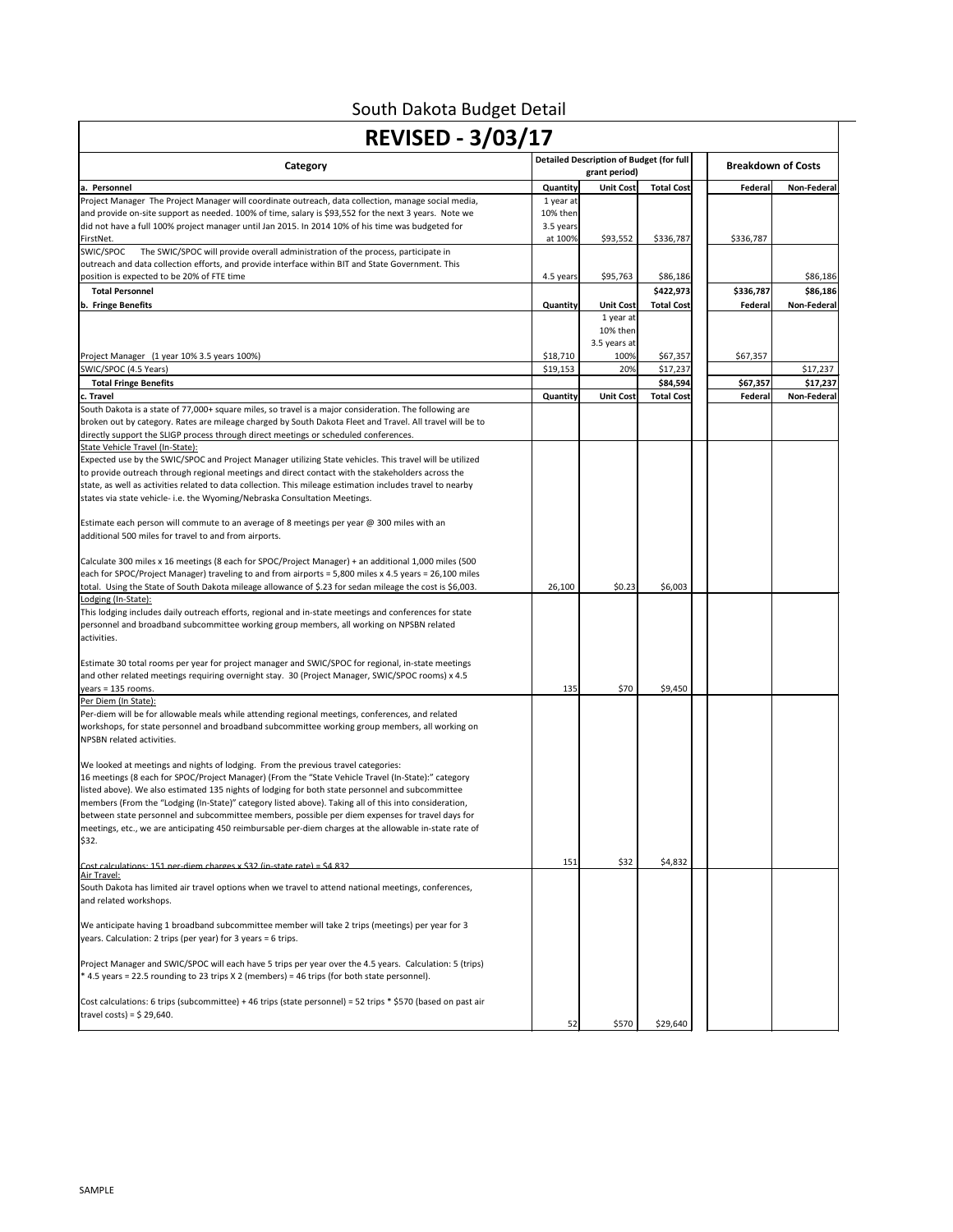| <b>REVISED - 3/03/17</b>                                                                                                                                                                                                                                                                                                                                                                                                                                                                                                                                                                                                      |                                               |                                                                  |                   |           |                           |  |
|-------------------------------------------------------------------------------------------------------------------------------------------------------------------------------------------------------------------------------------------------------------------------------------------------------------------------------------------------------------------------------------------------------------------------------------------------------------------------------------------------------------------------------------------------------------------------------------------------------------------------------|-----------------------------------------------|------------------------------------------------------------------|-------------------|-----------|---------------------------|--|
| Category                                                                                                                                                                                                                                                                                                                                                                                                                                                                                                                                                                                                                      |                                               | <b>Detailed Description of Budget (for full</b><br>grant period) |                   |           | <b>Breakdown of Costs</b> |  |
| la. Personnel                                                                                                                                                                                                                                                                                                                                                                                                                                                                                                                                                                                                                 | Quantity                                      | <b>Unit Cost</b>                                                 | <b>Total Cost</b> | Federal   | Non-Federal               |  |
| Project Manager The Project Manager will coordinate outreach, data collection, manage social media,<br>and provide on-site support as needed. 100% of time, salary is \$93,552 for the next 3 years. Note we<br>did not have a full 100% project manager until Jan 2015. In 2014 10% of his time was budgeted for<br>FirstNet.                                                                                                                                                                                                                                                                                                | 1 year at<br>10% then<br>3.5 years<br>at 100% | \$93,552                                                         | \$336,787         | \$336,787 |                           |  |
| SWIC/SPOC<br>The SWIC/SPOC will provide overall administration of the process, participate in<br>outreach and data collection efforts, and provide interface within BIT and State Government. This<br>position is expected to be 20% of FTE time                                                                                                                                                                                                                                                                                                                                                                              | 4.5 years                                     | \$95,763                                                         | \$86,186          |           | \$86,186                  |  |
| <b>Total Personnel</b>                                                                                                                                                                                                                                                                                                                                                                                                                                                                                                                                                                                                        |                                               |                                                                  | \$422,973         | \$336,787 | \$86,186                  |  |
| b. Fringe Benefits                                                                                                                                                                                                                                                                                                                                                                                                                                                                                                                                                                                                            | Quantity                                      | <b>Unit Cost</b>                                                 | <b>Total Cost</b> | Federal   | Non-Federal               |  |
|                                                                                                                                                                                                                                                                                                                                                                                                                                                                                                                                                                                                                               |                                               | 1 year at<br>10% then<br>3.5 years at                            |                   |           |                           |  |
| Project Manager (1 year 10% 3.5 years 100%)                                                                                                                                                                                                                                                                                                                                                                                                                                                                                                                                                                                   | \$18,710                                      | 100%                                                             | \$67,357          | \$67,357  |                           |  |
| SWIC/SPOC (4.5 Years)                                                                                                                                                                                                                                                                                                                                                                                                                                                                                                                                                                                                         | \$19,153                                      | 20%                                                              | \$17,237          |           | \$17,237                  |  |
| <b>Total Fringe Benefits</b>                                                                                                                                                                                                                                                                                                                                                                                                                                                                                                                                                                                                  |                                               |                                                                  | \$84,594          | \$67,357  | \$17,237                  |  |
| c. Travel<br>South Dakota is a state of 77,000+ square miles, so travel is a major consideration. The following are<br>broken out by category. Rates are mileage charged by South Dakota Fleet and Travel. All travel will be to<br>directly support the SLIGP process through direct meetings or scheduled conferences.                                                                                                                                                                                                                                                                                                      | <b>Quantity</b>                               | <b>Unit Cost</b>                                                 | <b>Total Cost</b> | Federal   | Non-Federal               |  |
| State Vehicle Travel (In-State):<br>Expected use by the SWIC/SPOC and Project Manager utilizing State vehicles. This travel will be utilized<br>to provide outreach through regional meetings and direct contact with the stakeholders across the<br>state, as well as activities related to data collection. This mileage estimation includes travel to nearby<br>states via state vehicle- i.e. the Wyoming/Nebraska Consultation Meetings.                                                                                                                                                                                 |                                               |                                                                  |                   |           |                           |  |
| Estimate each person will commute to an average of 8 meetings per year @ 300 miles with an<br>additional 500 miles for travel to and from airports.                                                                                                                                                                                                                                                                                                                                                                                                                                                                           |                                               |                                                                  |                   |           |                           |  |
| Calculate 300 miles x 16 meetings (8 each for SPOC/Project Manager) + an additional 1,000 miles (500<br>each for SPOC/Project Manager) traveling to and from airports = 5,800 miles x 4.5 years = 26,100 miles<br>total. Using the State of South Dakota mileage allowance of \$.23 for sedan mileage the cost is \$6,003.                                                                                                                                                                                                                                                                                                    | 26,100                                        | \$0.23                                                           | \$6,003           |           |                           |  |
| Lodging (In-State):                                                                                                                                                                                                                                                                                                                                                                                                                                                                                                                                                                                                           |                                               |                                                                  |                   |           |                           |  |
| This lodging includes daily outreach efforts, regional and in-state meetings and conferences for state<br>personnel and broadband subcommittee working group members, all working on NPSBN related<br>activities.                                                                                                                                                                                                                                                                                                                                                                                                             |                                               |                                                                  |                   |           |                           |  |
| Estimate 30 total rooms per year for project manager and SWIC/SPOC for regional, in-state meetings<br>and other related meetings requiring overnight stay. 30 (Project Manager, SWIC/SPOC rooms) x 4.5<br>$years = 135 rooms.$<br>Per Diem (In State):                                                                                                                                                                                                                                                                                                                                                                        | 135                                           | \$70                                                             | \$9,450           |           |                           |  |
| Per-diem will be for allowable meals while attending regional meetings, conferences, and related<br>workshops, for state personnel and broadband subcommittee working group members, all working on<br>NPSBN related activities.                                                                                                                                                                                                                                                                                                                                                                                              |                                               |                                                                  |                   |           |                           |  |
| We looked at meetings and nights of lodging. From the previous travel categories:<br>16 meetings (8 each for SPOC/Project Manager) (From the "State Vehicle Travel (In-State):" category<br>listed above). We also estimated 135 nights of lodging for both state personnel and subcommittee<br>members (From the "Lodging (In-State)" category listed above). Taking all of this into consideration,<br>between state personnel and subcommittee members, possible per diem expenses for travel days for<br>meetings, etc., we are anticipating 450 reimbursable per-diem charges at the allowable in-state rate of<br>\$32. |                                               |                                                                  |                   |           |                           |  |
| <u> Cost calculations: 151 ner-diem charges x \$32 (in-state rate) = \$4 832</u>                                                                                                                                                                                                                                                                                                                                                                                                                                                                                                                                              | 151                                           | \$32                                                             | \$4,832           |           |                           |  |
| Air Travel:<br>South Dakota has limited air travel options when we travel to attend national meetings, conferences,<br>and related workshops.                                                                                                                                                                                                                                                                                                                                                                                                                                                                                 |                                               |                                                                  |                   |           |                           |  |
| We anticipate having 1 broadband subcommittee member will take 2 trips (meetings) per year for 3<br>years. Calculation: 2 trips (per year) for 3 years = 6 trips.                                                                                                                                                                                                                                                                                                                                                                                                                                                             |                                               |                                                                  |                   |           |                           |  |
| Project Manager and SWIC/SPOC will each have 5 trips per year over the 4.5 years. Calculation: 5 (trips)<br>* 4.5 years = 22.5 rounding to 23 trips X 2 (members) = 46 trips (for both state personnel).                                                                                                                                                                                                                                                                                                                                                                                                                      |                                               |                                                                  |                   |           |                           |  |
| Cost calculations: 6 trips (subcommittee) + 46 trips (state personnel) = 52 trips * \$570 (based on past air<br>travel costs) = $$29,640$ .                                                                                                                                                                                                                                                                                                                                                                                                                                                                                   | 52                                            | \$570                                                            | \$29,640          |           |                           |  |

South Dakota Budget Detail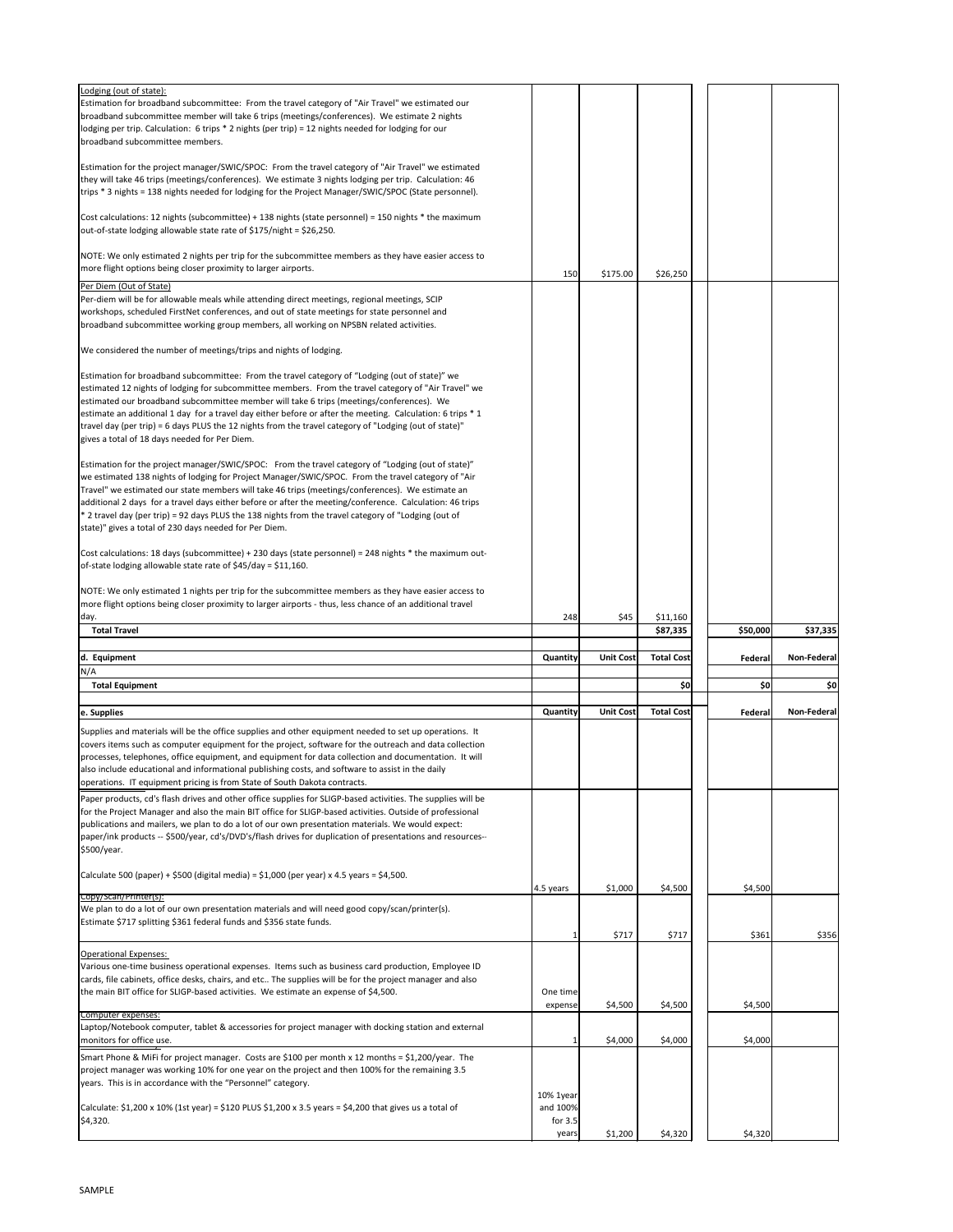| Lodging (out of state):<br>Estimation for broadband subcommittee: From the travel category of "Air Travel" we estimated our<br>broadband subcommittee member will take 6 trips (meetings/conferences). We estimate 2 nights<br>lodging per trip. Calculation: 6 trips * 2 nights (per trip) = 12 nights needed for lodging for our<br>broadband subcommittee members.                                                                                                                                                                                                                       |                                             |                  |                   |          |             |
|---------------------------------------------------------------------------------------------------------------------------------------------------------------------------------------------------------------------------------------------------------------------------------------------------------------------------------------------------------------------------------------------------------------------------------------------------------------------------------------------------------------------------------------------------------------------------------------------|---------------------------------------------|------------------|-------------------|----------|-------------|
| Estimation for the project manager/SWIC/SPOC: From the travel category of "Air Travel" we estimated<br>they will take 46 trips (meetings/conferences). We estimate 3 nights lodging per trip. Calculation: 46<br>trips * 3 nights = 138 nights needed for lodging for the Project Manager/SWIC/SPOC (State personnel).                                                                                                                                                                                                                                                                      |                                             |                  |                   |          |             |
| Cost calculations: 12 nights (subcommittee) + 138 nights (state personnel) = 150 nights * the maximum<br>out-of-state lodging allowable state rate of \$175/night = \$26,250.                                                                                                                                                                                                                                                                                                                                                                                                               |                                             |                  |                   |          |             |
| NOTE: We only estimated 2 nights per trip for the subcommittee members as they have easier access to<br>more flight options being closer proximity to larger airports.                                                                                                                                                                                                                                                                                                                                                                                                                      | 150                                         | \$175.00         | \$26,250          |          |             |
| Per Diem (Out of State)<br>Per-diem will be for allowable meals while attending direct meetings, regional meetings, SCIP<br>workshops, scheduled FirstNet conferences, and out of state meetings for state personnel and<br>broadband subcommittee working group members, all working on NPSBN related activities.                                                                                                                                                                                                                                                                          |                                             |                  |                   |          |             |
| We considered the number of meetings/trips and nights of lodging.                                                                                                                                                                                                                                                                                                                                                                                                                                                                                                                           |                                             |                  |                   |          |             |
| Estimation for broadband subcommittee: From the travel category of "Lodging (out of state)" we<br>estimated 12 nights of lodging for subcommittee members. From the travel category of "Air Travel" we<br>estimated our broadband subcommittee member will take 6 trips (meetings/conferences). We<br>estimate an additional 1 day for a travel day either before or after the meeting. Calculation: 6 trips $*$ 1<br>travel day (per trip) = 6 days PLUS the 12 nights from the travel category of "Lodging (out of state)"<br>gives a total of 18 days needed for Per Diem.               |                                             |                  |                   |          |             |
| Estimation for the project manager/SWIC/SPOC: From the travel category of "Lodging (out of state)"<br>we estimated 138 nights of lodging for Project Manager/SWIC/SPOC. From the travel category of "Air<br>Travel" we estimated our state members will take 46 trips (meetings/conferences). We estimate an<br>ladditional 2 days for a travel days either before or after the meeting/conference. Calculation: 46 trips<br>* 2 travel day (per trip) = 92 days PLUS the 138 nights from the travel category of "Lodging (out of<br>state)" gives a total of 230 days needed for Per Diem. |                                             |                  |                   |          |             |
| Cost calculations: 18 days (subcommittee) + 230 days (state personnel) = 248 nights * the maximum out-<br>of-state lodging allowable state rate of $$45/day = $11,160$ .                                                                                                                                                                                                                                                                                                                                                                                                                    |                                             |                  |                   |          |             |
| NOTE: We only estimated 1 nights per trip for the subcommittee members as they have easier access to<br>more flight options being closer proximity to larger airports - thus, less chance of an additional travel<br>day.                                                                                                                                                                                                                                                                                                                                                                   | 248                                         | \$45             | \$11,160          |          |             |
| <b>Total Travel</b>                                                                                                                                                                                                                                                                                                                                                                                                                                                                                                                                                                         |                                             |                  | \$87,335          | \$50,000 | \$37,335    |
| d. Equipment                                                                                                                                                                                                                                                                                                                                                                                                                                                                                                                                                                                | Quantity                                    | <b>Unit Cost</b> | <b>Total Cost</b> | Federal  | Non-Federal |
| N/A<br><b>Total Equipment</b>                                                                                                                                                                                                                                                                                                                                                                                                                                                                                                                                                               |                                             |                  | \$0               | 50       | 50          |
| e. Supplies                                                                                                                                                                                                                                                                                                                                                                                                                                                                                                                                                                                 | <b>Quantity</b>                             | <b>Unit Cost</b> | <b>Total Cost</b> | Federal  | Non-Federal |
| Supplies and materials will be the office supplies and other equipment needed to set up operations. It<br>covers items such as computer equipment for the project, software for the outreach and data collection<br>processes, telephones, office equipment, and equipment for data collection and documentation. It will<br>also include educational and informational publishing costs, and software to assist in the daily<br>operations. IT equipment pricing is from State of South Dakota contracts.                                                                                  |                                             |                  |                   |          |             |
| Paper products, cd's flash drives and other office supplies for SLIGP-based activities. The supplies will be<br>for the Project Manager and also the main BIT office for SLIGP-based activities. Outside of professional<br>publications and mailers, we plan to do a lot of our own presentation materials. We would expect:<br>paper/ink products -- \$500/year, cd's/DVD's/flash drives for duplication of presentations and resources--<br>\$500/year.                                                                                                                                  |                                             |                  |                   |          |             |
| Calculate 500 (paper) + \$500 (digital media) = \$1,000 (per year) x 4.5 years = \$4,500.                                                                                                                                                                                                                                                                                                                                                                                                                                                                                                   | 4.5 years                                   | \$1,000          | \$4,500           | \$4,500  |             |
| Copy/Scan/Printer(s):<br>We plan to do a lot of our own presentation materials and will need good copy/scan/printer(s).<br>Estimate \$717 splitting \$361 federal funds and \$356 state funds.                                                                                                                                                                                                                                                                                                                                                                                              |                                             | \$717            | \$717             | \$361    | \$356       |
| <b>Operational Expenses:</b><br>Various one-time business operational expenses. Items such as business card production, Employee ID<br>cards, file cabinets, office desks, chairs, and etc The supplies will be for the project manager and also                                                                                                                                                                                                                                                                                                                                            |                                             |                  |                   |          |             |
| the main BIT office for SLIGP-based activities. We estimate an expense of \$4,500.                                                                                                                                                                                                                                                                                                                                                                                                                                                                                                          | One time                                    |                  |                   |          |             |
| Computer expenses:<br>Laptop/Notebook computer, tablet & accessories for project manager with docking station and external                                                                                                                                                                                                                                                                                                                                                                                                                                                                  | expense                                     | \$4,500          | \$4,500           | \$4,500  |             |
| monitors for office use.<br>Smart Phone & MiFi for project manager. Costs are \$100 per month x 12 months = \$1,200/year. The<br>project manager was working 10% for one year on the project and then 100% for the remaining 3.5                                                                                                                                                                                                                                                                                                                                                            |                                             | \$4,000          | \$4,000           | \$4,000  |             |
| years. This is in accordance with the "Personnel" category.<br>Calculate: \$1,200 x 10% (1st year) = \$120 PLUS \$1,200 x 3.5 years = \$4,200 that gives us a total of<br>\$4,320.                                                                                                                                                                                                                                                                                                                                                                                                          | 10% 1year<br>and 100%<br>for $3.5$<br>years | \$1,200          | \$4,320           | \$4,320  |             |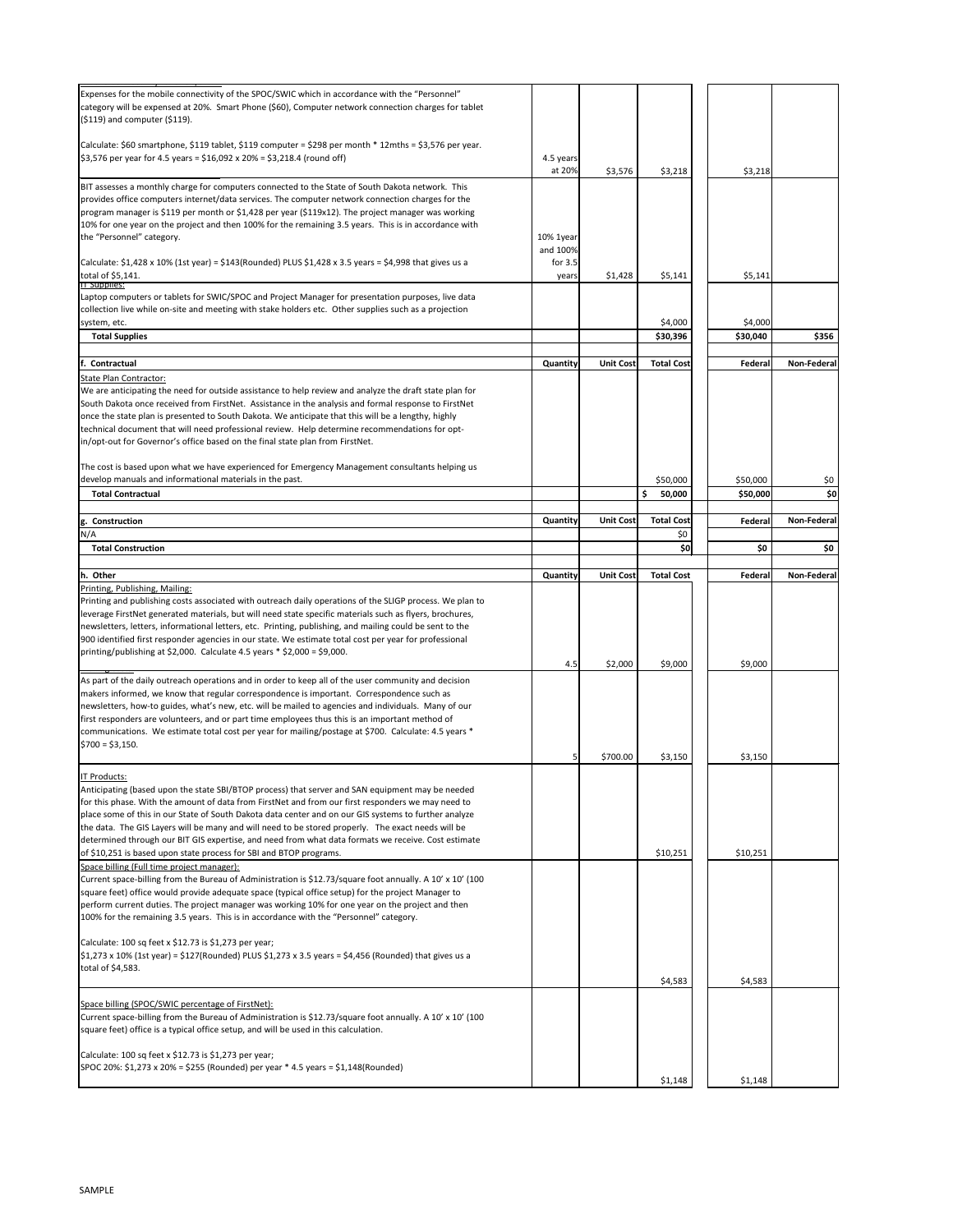| Expenses for the mobile connectivity of the SPOC/SWIC which in accordance with the "Personnel"<br>category will be expensed at 20%. Smart Phone (\$60), Computer network connection charges for tablet<br>$(5119)$ and computer $(5119)$ .                                                                                                                                                                                                                  |                       |                  |                          |                      |                    |
|-------------------------------------------------------------------------------------------------------------------------------------------------------------------------------------------------------------------------------------------------------------------------------------------------------------------------------------------------------------------------------------------------------------------------------------------------------------|-----------------------|------------------|--------------------------|----------------------|--------------------|
| Calculate: \$60 smartphone, \$119 tablet, \$119 computer = \$298 per month * 12mths = \$3,576 per year.                                                                                                                                                                                                                                                                                                                                                     |                       |                  |                          |                      |                    |
| $\frac{1}{2}$ ,576 per year for 4.5 years = \$16,092 x 20% = \$3,218.4 (round off)                                                                                                                                                                                                                                                                                                                                                                          | 4.5 years<br>at 20%   | \$3,576          | \$3,218                  | \$3,218              |                    |
| BIT assesses a monthly charge for computers connected to the State of South Dakota network. This<br>provides office computers internet/data services. The computer network connection charges for the                                                                                                                                                                                                                                                       |                       |                  |                          |                      |                    |
| program manager is \$119 per month or \$1,428 per year (\$119x12). The project manager was working<br>10% for one year on the project and then 100% for the remaining 3.5 years. This is in accordance with                                                                                                                                                                                                                                                 |                       |                  |                          |                      |                    |
| the "Personnel" category.                                                                                                                                                                                                                                                                                                                                                                                                                                   | 10% 1year             |                  |                          |                      |                    |
| Calculate: \$1,428 x 10% (1st year) = \$143(Rounded) PLUS \$1,428 x 3.5 years = \$4,998 that gives us a                                                                                                                                                                                                                                                                                                                                                     | and 100%<br>for $3.5$ |                  |                          |                      |                    |
| total of \$5,141.<br><b>II</b> supplies:                                                                                                                                                                                                                                                                                                                                                                                                                    | years                 | \$1,428          | \$5,141                  | \$5,141              |                    |
| Laptop computers or tablets for SWIC/SPOC and Project Manager for presentation purposes, live data<br>collection live while on-site and meeting with stake holders etc. Other supplies such as a projection                                                                                                                                                                                                                                                 |                       |                  |                          |                      |                    |
| system, etc.<br><b>Total Supplies</b>                                                                                                                                                                                                                                                                                                                                                                                                                       |                       |                  | \$4,000<br>\$30,396      | \$4,000<br>\$30,040  | \$356              |
|                                                                                                                                                                                                                                                                                                                                                                                                                                                             |                       |                  |                          |                      |                    |
| Contractual                                                                                                                                                                                                                                                                                                                                                                                                                                                 | Quantity              | <b>Unit Cost</b> | <b>Total Cost</b>        | Federal              | <b>Non-Federal</b> |
| <b>State Plan Contractor:</b><br>We are anticipating the need for outside assistance to help review and analyze the draft state plan for                                                                                                                                                                                                                                                                                                                    |                       |                  |                          |                      |                    |
| South Dakota once received from FirstNet. Assistance in the analysis and formal response to FirstNet                                                                                                                                                                                                                                                                                                                                                        |                       |                  |                          |                      |                    |
| once the state plan is presented to South Dakota. We anticipate that this will be a lengthy, highly<br>technical document that will need professional review. Help determine recommendations for opt-                                                                                                                                                                                                                                                       |                       |                  |                          |                      |                    |
| in/opt-out for Governor's office based on the final state plan from FirstNet.                                                                                                                                                                                                                                                                                                                                                                               |                       |                  |                          |                      |                    |
| The cost is based upon what we have experienced for Emergency Management consultants helping us                                                                                                                                                                                                                                                                                                                                                             |                       |                  |                          |                      |                    |
| develop manuals and informational materials in the past.<br><b>Total Contractual</b>                                                                                                                                                                                                                                                                                                                                                                        |                       |                  | \$50,000<br>\$<br>50,000 | \$50,000<br>\$50,000 | \$0<br> 50         |
|                                                                                                                                                                                                                                                                                                                                                                                                                                                             |                       |                  |                          |                      |                    |
| Construction<br>lg.<br>N/A                                                                                                                                                                                                                                                                                                                                                                                                                                  | Quantity              | <b>Unit Cost</b> | <b>Total Cost</b><br>\$0 | Federal              | <b>Non-Federal</b> |
| <b>Total Construction</b>                                                                                                                                                                                                                                                                                                                                                                                                                                   |                       |                  | \$0]                     | \$0                  | \$0                |
|                                                                                                                                                                                                                                                                                                                                                                                                                                                             |                       |                  | <b>Total Cost</b>        |                      | <b>Non-Federal</b> |
| h. Other<br>Printing, Publishing, Mailing:                                                                                                                                                                                                                                                                                                                                                                                                                  | <b>Quantity</b>       | Unit Cost        |                          | Federal              |                    |
| Printing and publishing costs associated with outreach daily operations of the SLIGP process. We plan to<br>leverage FirstNet generated materials, but will need state specific materials such as flyers, brochures,<br>newsletters, letters, informational letters, etc. Printing, publishing, and mailing could be sent to the                                                                                                                            |                       |                  |                          |                      |                    |
| 900 identified first responder agencies in our state. We estimate total cost per year for professional<br>printing/publishing at \$2,000. Calculate 4.5 years $*$ \$2,000 = \$9,000.                                                                                                                                                                                                                                                                        | 4.5                   | \$2,000          | \$9,000                  | \$9,000              |                    |
| As part of the daily outreach operations and in order to keep all of the user community and decision<br>makers informed, we know that regular correspondence is important. Correspondence such as<br>newsletters, how-to guides, what's new, etc. will be mailed to agencies and individuals. Many of our<br>first responders are volunteers, and or part time employees thus this is an important method of                                                |                       |                  |                          |                      |                    |
| communications. We estimate total cost per year for mailing/postage at \$700. Calculate: 4.5 years *<br>$$700 = $3,150.$                                                                                                                                                                                                                                                                                                                                    |                       | \$700.00         | \$3,150                  | \$3,150              |                    |
| <b>IT Products:</b>                                                                                                                                                                                                                                                                                                                                                                                                                                         |                       |                  |                          |                      |                    |
| Anticipating (based upon the state SBI/BTOP process) that server and SAN equipment may be needed<br>for this phase. With the amount of data from FirstNet and from our first responders we may need to<br>place some of this in our State of South Dakota data center and on our GIS systems to further analyze<br>the data. The GIS Layers will be many and will need to be stored properly. The exact needs will be                                       |                       |                  |                          |                      |                    |
| determined through our BIT GIS expertise, and need from what data formats we receive. Cost estimate<br>of \$10,251 is based upon state process for SBI and BTOP programs.                                                                                                                                                                                                                                                                                   |                       |                  | \$10,251                 | \$10,251             |                    |
| Space billing (Full time project manager):<br>Current space-billing from the Bureau of Administration is \$12.73/square foot annually. A 10' x 10' (100<br>square feet) office would provide adequate space (typical office setup) for the project Manager to<br>perform current duties. The project manager was working 10% for one year on the project and then<br>100% for the remaining 3.5 years. This is in accordance with the "Personnel" category. |                       |                  |                          |                      |                    |
| Calculate: 100 sq feet x \$12.73 is \$1,273 per year;                                                                                                                                                                                                                                                                                                                                                                                                       |                       |                  |                          |                      |                    |
| $$1,273 \times 10\%$ (1st year) = \$127(Rounded) PLUS \$1,273 x 3.5 years = \$4,456 (Rounded) that gives us a<br>total of \$4,583.                                                                                                                                                                                                                                                                                                                          |                       |                  | \$4,583                  | \$4,583              |                    |
|                                                                                                                                                                                                                                                                                                                                                                                                                                                             |                       |                  |                          |                      |                    |
| Space billing (SPOC/SWIC percentage of FirstNet):<br>Current space-billing from the Bureau of Administration is \$12.73/square foot annually. A 10' x 10' (100                                                                                                                                                                                                                                                                                              |                       |                  |                          |                      |                    |
| square feet) office is a typical office setup, and will be used in this calculation.<br>Calculate: 100 sq feet x \$12.73 is \$1,273 per year;<br>SPOC 20%: \$1,273 x 20% = \$255 (Rounded) per year * 4.5 years = \$1,148(Rounded)                                                                                                                                                                                                                          |                       |                  |                          |                      |                    |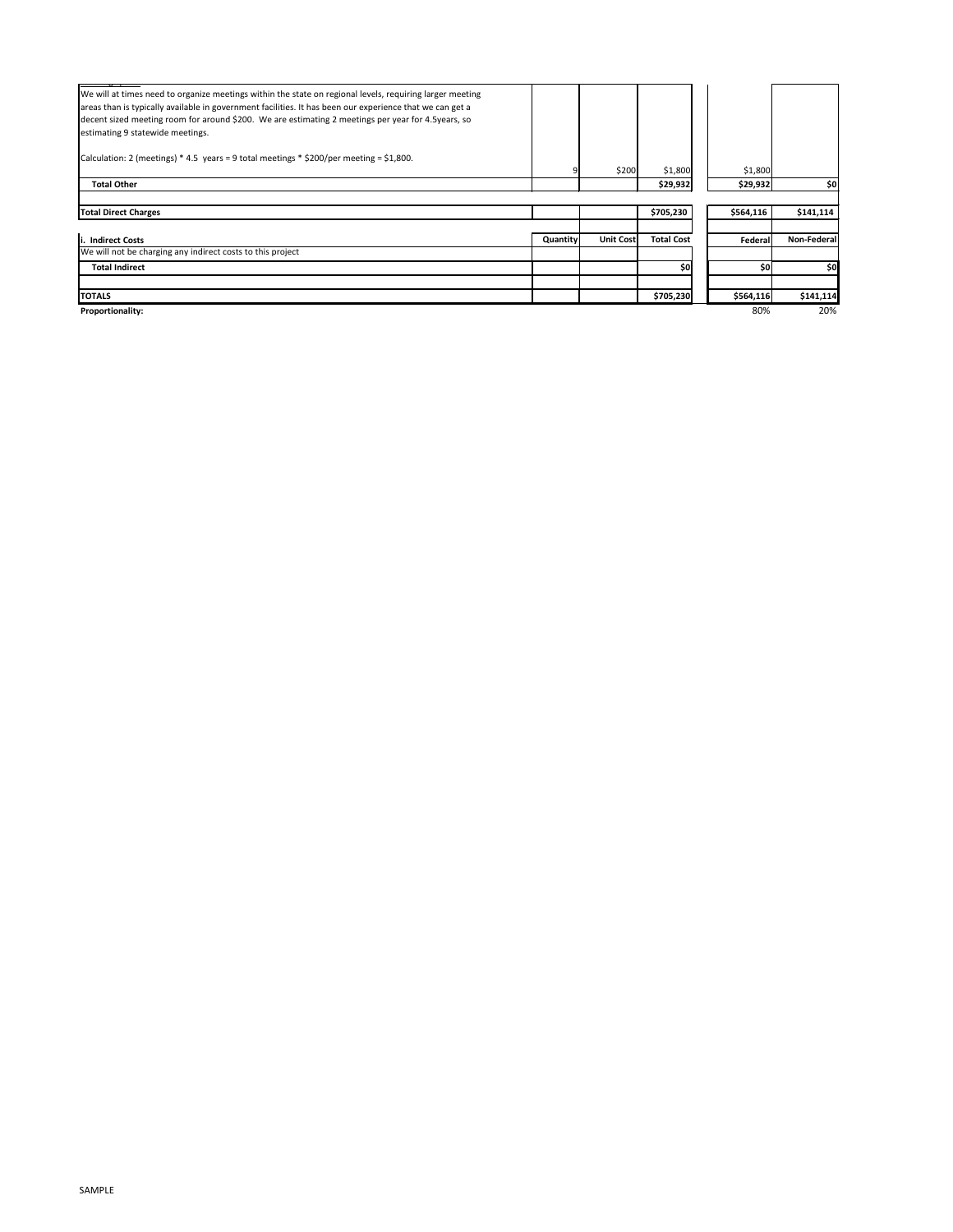## SAMPLE

| We will at times need to organize meetings within the state on regional levels, requiring larger meeting<br>areas than is typically available in government facilities. It has been our experience that we can get a<br>decent sized meeting room for around \$200. We are estimating 2 meetings per year for 4.5years, so<br>estimating 9 statewide meetings.<br>Calculation: 2 (meetings) * 4.5 years = 9 total meetings * \$200/per meeting = \$1,800. |                 |                  |                   |           |             |
|-----------------------------------------------------------------------------------------------------------------------------------------------------------------------------------------------------------------------------------------------------------------------------------------------------------------------------------------------------------------------------------------------------------------------------------------------------------|-----------------|------------------|-------------------|-----------|-------------|
|                                                                                                                                                                                                                                                                                                                                                                                                                                                           |                 | \$200            | \$1,800           | \$1,800   |             |
| <b>Total Other</b>                                                                                                                                                                                                                                                                                                                                                                                                                                        |                 |                  | \$29,932          | \$29,932  | \$이         |
|                                                                                                                                                                                                                                                                                                                                                                                                                                                           |                 |                  |                   |           |             |
| <b>Total Direct Charges</b>                                                                                                                                                                                                                                                                                                                                                                                                                               |                 |                  | \$705,230         | \$564,116 | \$141,114   |
|                                                                                                                                                                                                                                                                                                                                                                                                                                                           |                 |                  |                   |           |             |
| i. Indirect Costs                                                                                                                                                                                                                                                                                                                                                                                                                                         | <b>Quantity</b> | <b>Unit Cost</b> | <b>Total Cost</b> | Federal   | Non-Federal |
| We will not be charging any indirect costs to this project                                                                                                                                                                                                                                                                                                                                                                                                |                 |                  |                   |           |             |
| <b>Total Indirect</b>                                                                                                                                                                                                                                                                                                                                                                                                                                     |                 |                  | \$0               | \$0       | \$0         |
|                                                                                                                                                                                                                                                                                                                                                                                                                                                           |                 |                  |                   |           |             |
| <b>TOTALS</b>                                                                                                                                                                                                                                                                                                                                                                                                                                             |                 |                  | \$705,230         | \$564,116 | \$141,114   |
| Proportionality:                                                                                                                                                                                                                                                                                                                                                                                                                                          |                 |                  |                   | 80%       | 20%         |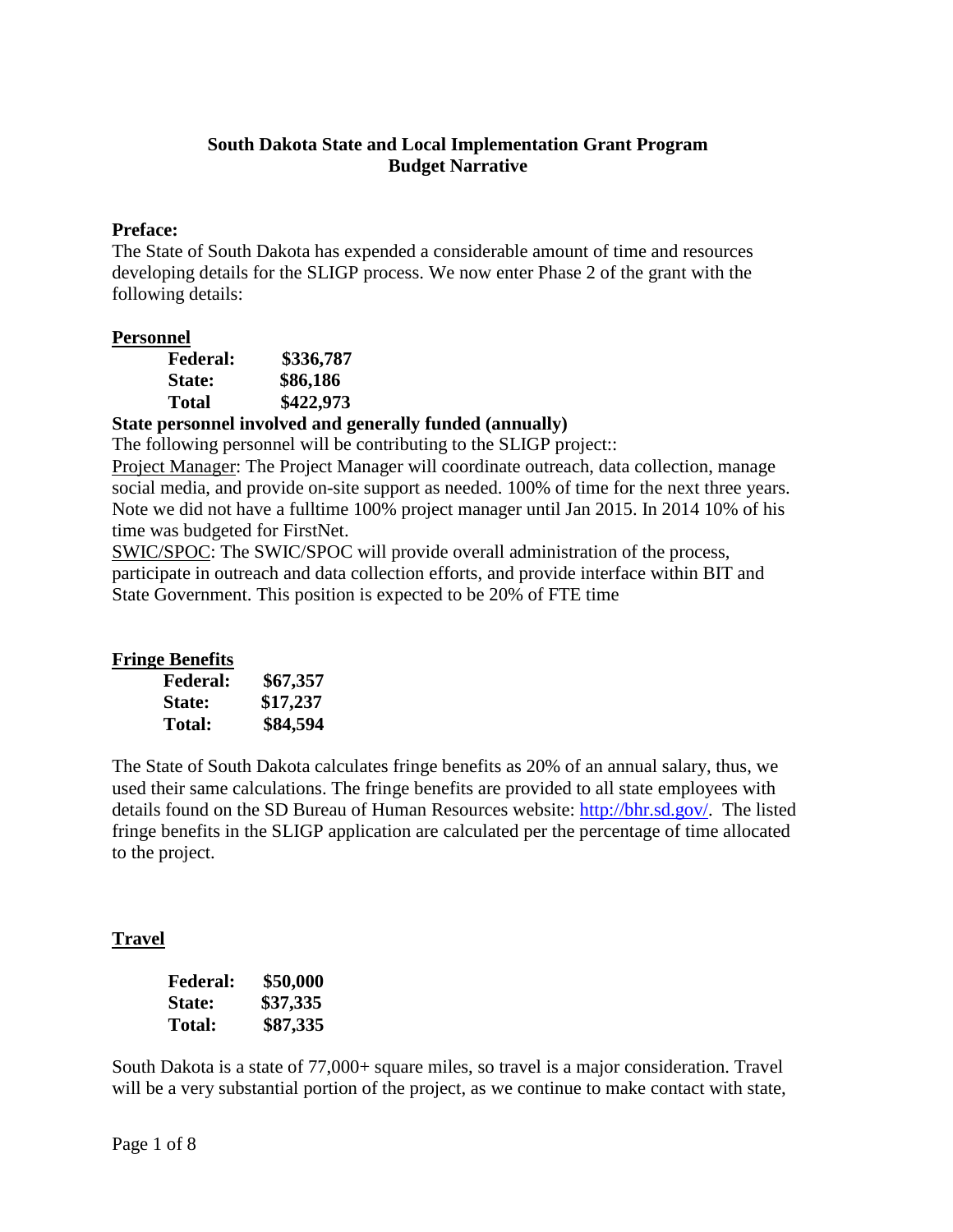## **South Dakota State and Local Implementation Grant Program Budget Narrative**

### **Preface:**

The State of South Dakota has expended a considerable amount of time and resources developing details for the SLIGP process. We now enter Phase 2 of the grant with the following details:

## **Personnel**

| <b>Federal:</b> | \$336,787 |
|-----------------|-----------|
| State:          | \$86,186  |
| Total           | \$422,973 |

# **State personnel involved and generally funded (annually)**

The following personnel will be contributing to the SLIGP project::

Project Manager: The Project Manager will coordinate outreach, data collection, manage social media, and provide on-site support as needed. 100% of time for the next three years. Note we did not have a fulltime 100% project manager until Jan 2015. In 2014 10% of his time was budgeted for FirstNet.

SWIC/SPOC: The SWIC/SPOC will provide overall administration of the process, participate in outreach and data collection efforts, and provide interface within BIT and State Government. This position is expected to be 20% of FTE time

# **Fringe Benefits**

| <b>Federal:</b> | \$67,357 |
|-----------------|----------|
| <b>State:</b>   | \$17,237 |
| <b>Total:</b>   | \$84,594 |

The State of South Dakota calculates fringe benefits as 20% of an annual salary, thus, we used their same calculations. The fringe benefits are provided to all state employees with details found on the SD Bureau of Human Resources website: [http://bhr.sd.gov/.](http://bhr.sd.gov/) The listed fringe benefits in the SLIGP application are calculated per the percentage of time allocated to the project.

# **Travel**

| <b>Federal:</b> | \$50,000 |
|-----------------|----------|
| <b>State:</b>   | \$37,335 |
| Total:          | \$87,335 |

South Dakota is a state of 77,000+ square miles, so travel is a major consideration. Travel will be a very substantial portion of the project, as we continue to make contact with state,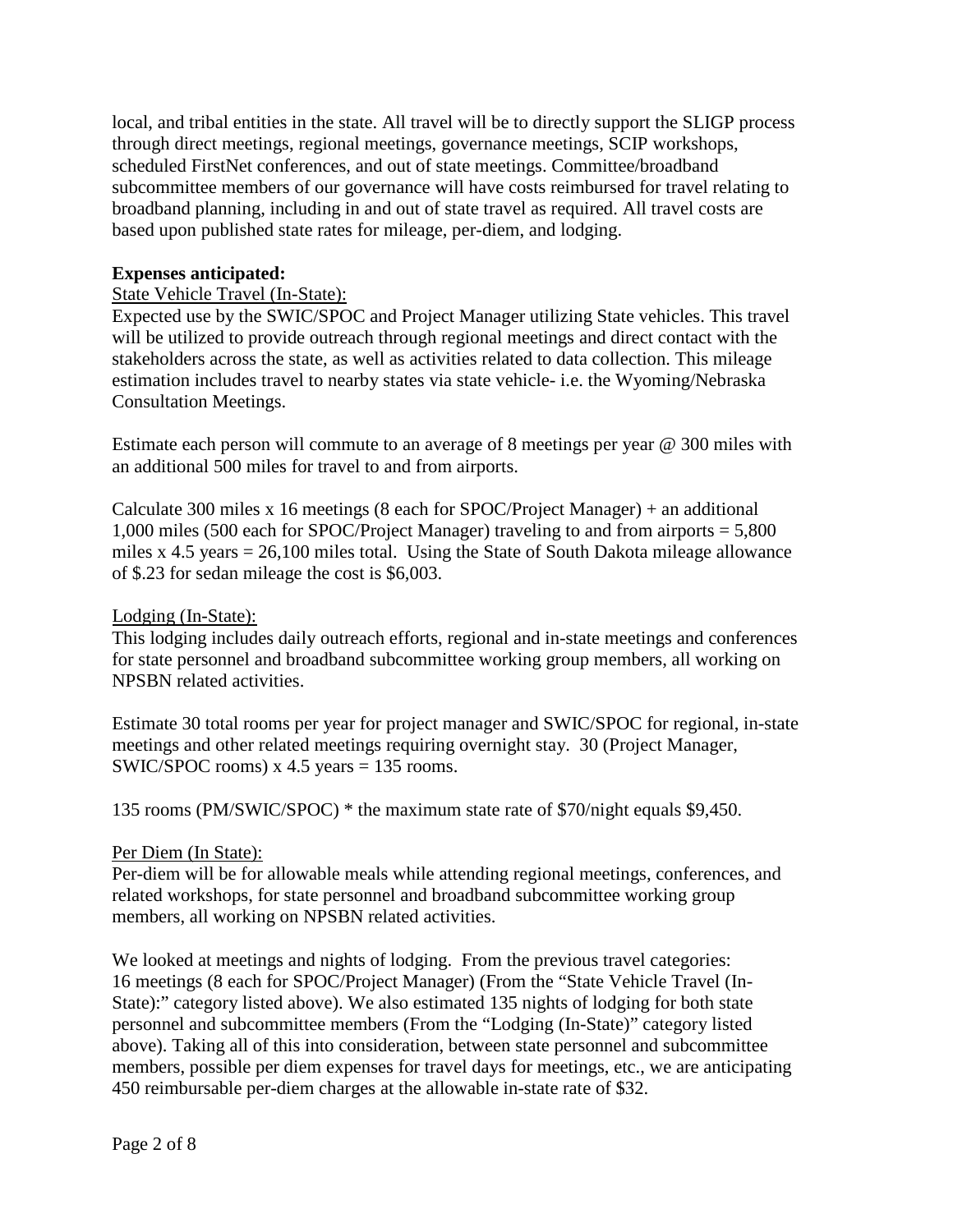local, and tribal entities in the state. All travel will be to directly support the SLIGP process through direct meetings, regional meetings, governance meetings, SCIP workshops, scheduled FirstNet conferences, and out of state meetings. Committee/broadband subcommittee members of our governance will have costs reimbursed for travel relating to broadband planning, including in and out of state travel as required. All travel costs are based upon published state rates for mileage, per-diem, and lodging.

#### **Expenses anticipated:**

#### State Vehicle Travel (In-State):

Expected use by the SWIC/SPOC and Project Manager utilizing State vehicles. This travel will be utilized to provide outreach through regional meetings and direct contact with the stakeholders across the state, as well as activities related to data collection. This mileage estimation includes travel to nearby states via state vehicle- i.e. the Wyoming/Nebraska Consultation Meetings.

Estimate each person will commute to an average of 8 meetings per year @ 300 miles with an additional 500 miles for travel to and from airports.

Calculate 300 miles x 16 meetings (8 each for SPOC/Project Manager) + an additional 1,000 miles (500 each for SPOC/Project Manager) traveling to and from airports = 5,800 miles x  $4.5$  years =  $26,100$  miles total. Using the State of South Dakota mileage allowance of \$.23 for sedan mileage the cost is \$6,003.

#### Lodging (In-State):

This lodging includes daily outreach efforts, regional and in-state meetings and conferences for state personnel and broadband subcommittee working group members, all working on NPSBN related activities.

Estimate 30 total rooms per year for project manager and SWIC/SPOC for regional, in-state meetings and other related meetings requiring overnight stay. 30 (Project Manager, SWIC/SPOC rooms)  $x$  4.5 years = 135 rooms.

135 rooms (PM/SWIC/SPOC) \* the maximum state rate of \$70/night equals \$9,450.

#### Per Diem (In State):

Per-diem will be for allowable meals while attending regional meetings, conferences, and related workshops, for state personnel and broadband subcommittee working group members, all working on NPSBN related activities.

We looked at meetings and nights of lodging. From the previous travel categories: 16 meetings (8 each for SPOC/Project Manager) (From the "State Vehicle Travel (In-State):" category listed above). We also estimated 135 nights of lodging for both state personnel and subcommittee members (From the "Lodging (In-State)" category listed above). Taking all of this into consideration, between state personnel and subcommittee members, possible per diem expenses for travel days for meetings, etc., we are anticipating 450 reimbursable per-diem charges at the allowable in-state rate of \$32.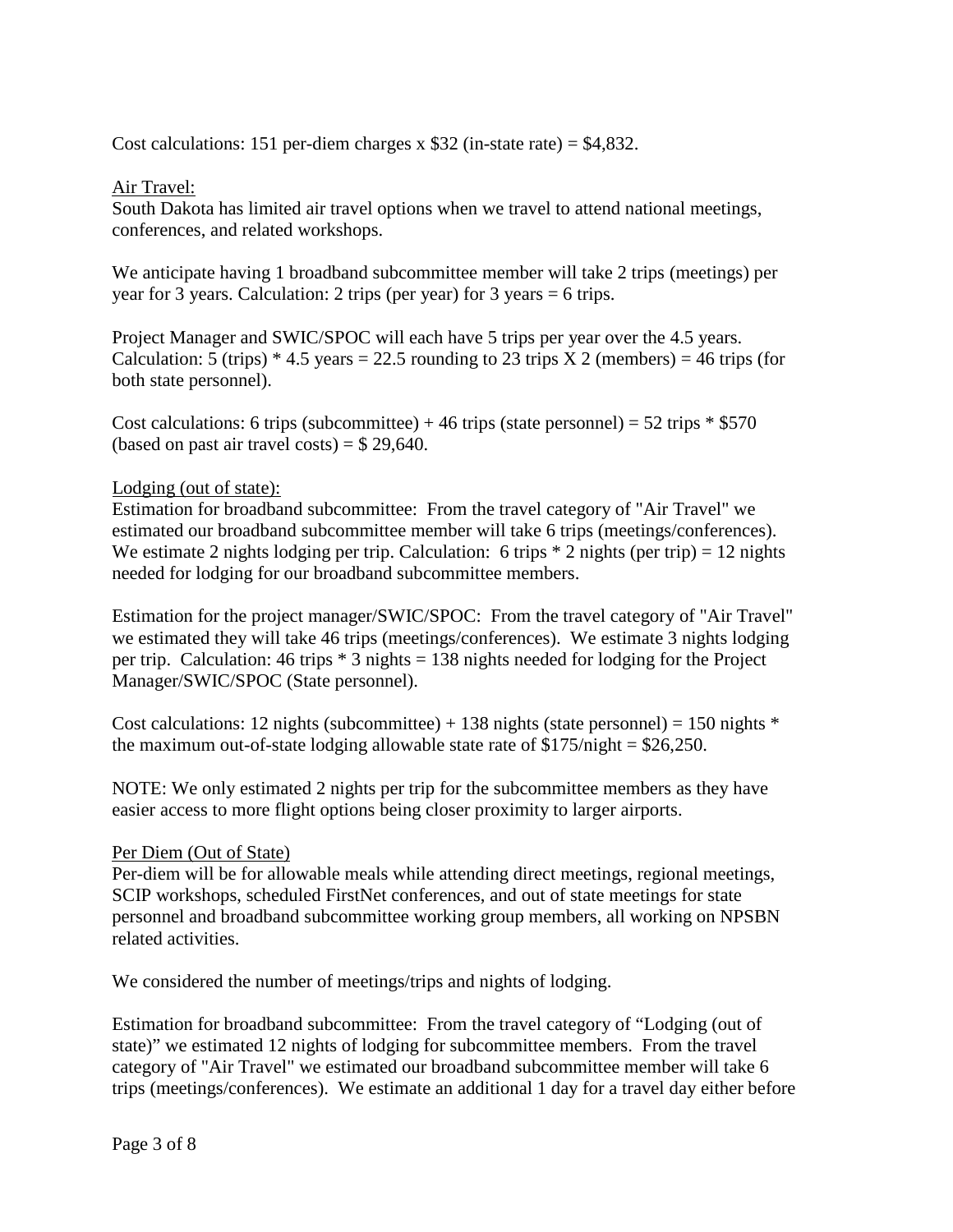Cost calculations: 151 per-diem charges x  $$32$  (in-state rate) = \$4,832.

## Air Travel:

South Dakota has limited air travel options when we travel to attend national meetings, conferences, and related workshops.

We anticipate having 1 broadband subcommittee member will take 2 trips (meetings) per year for 3 years. Calculation: 2 trips (per year) for 3 years = 6 trips.

Project Manager and SWIC/SPOC will each have 5 trips per year over the 4.5 years. Calculation: 5 (trips)  $*$  4.5 years = 22.5 rounding to 23 trips X 2 (members) = 46 trips (for both state personnel).

Cost calculations: 6 trips (subcommittee) + 46 trips (state personnel) = 52 trips  $*$  \$570 (based on past air travel costs) =  $$29,640$ .

## Lodging (out of state):

Estimation for broadband subcommittee: From the travel category of "Air Travel" we estimated our broadband subcommittee member will take 6 trips (meetings/conferences). We estimate 2 nights lodging per trip. Calculation: 6 trips  $*$  2 nights (per trip) = 12 nights needed for lodging for our broadband subcommittee members.

Estimation for the project manager/SWIC/SPOC: From the travel category of "Air Travel" we estimated they will take 46 trips (meetings/conferences). We estimate 3 nights lodging per trip. Calculation: 46 trips  $*$  3 nights = 138 nights needed for lodging for the Project Manager/SWIC/SPOC (State personnel).

Cost calculations: 12 nights (subcommittee) + 138 nights (state personnel) = 150 nights  $*$ the maximum out-of-state lodging allowable state rate of  $$175/night = $26,250$ .

NOTE: We only estimated 2 nights per trip for the subcommittee members as they have easier access to more flight options being closer proximity to larger airports.

### Per Diem (Out of State)

Per-diem will be for allowable meals while attending direct meetings, regional meetings, SCIP workshops, scheduled FirstNet conferences, and out of state meetings for state personnel and broadband subcommittee working group members, all working on NPSBN related activities.

We considered the number of meetings/trips and nights of lodging.

Estimation for broadband subcommittee: From the travel category of "Lodging (out of state)" we estimated 12 nights of lodging for subcommittee members. From the travel category of "Air Travel" we estimated our broadband subcommittee member will take 6 trips (meetings/conferences). We estimate an additional 1 day for a travel day either before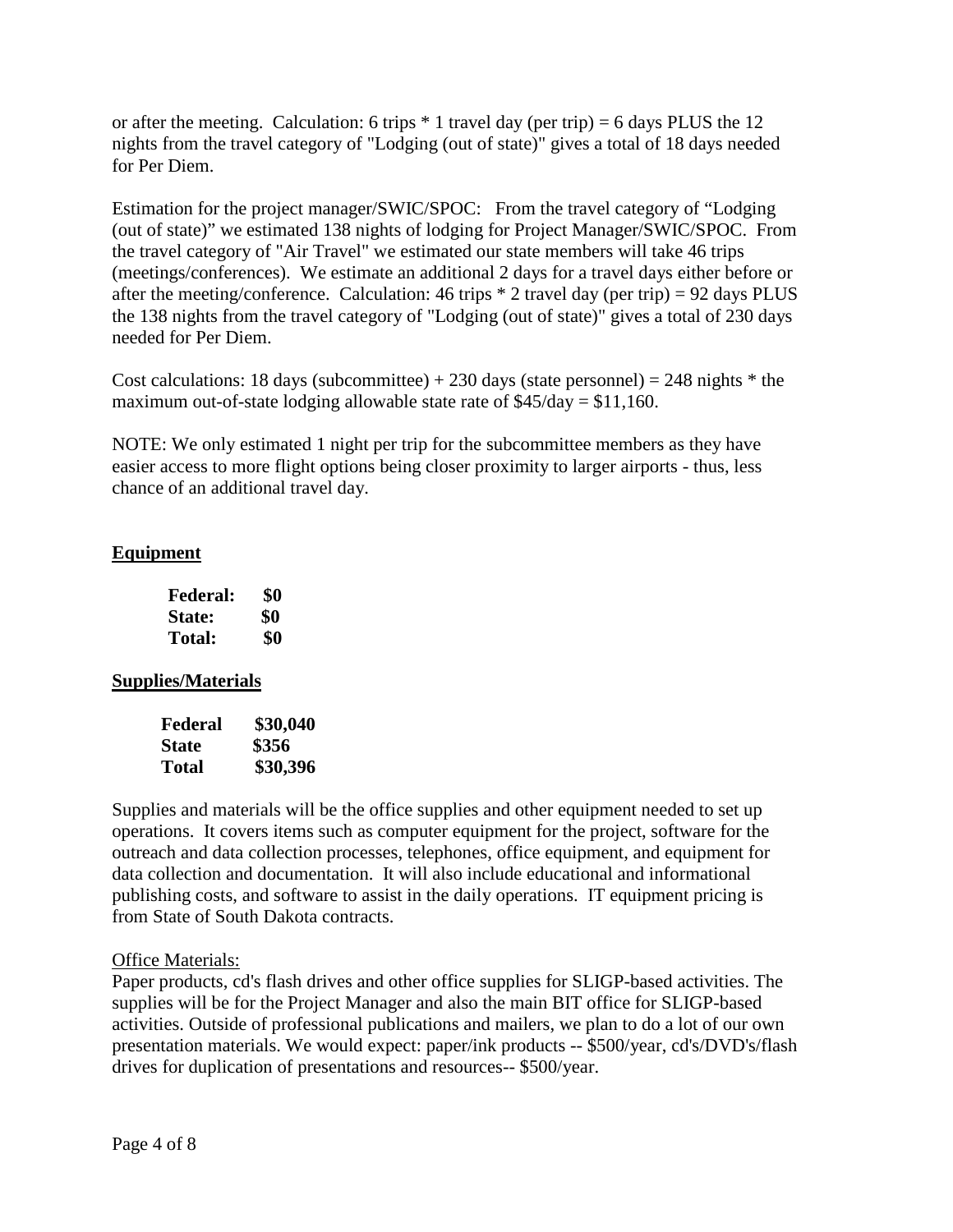or after the meeting. Calculation: 6 trips  $*$  1 travel day (per trip) = 6 days PLUS the 12 nights from the travel category of "Lodging (out of state)" gives a total of 18 days needed for Per Diem.

Estimation for the project manager/SWIC/SPOC: From the travel category of "Lodging (out of state)" we estimated 138 nights of lodging for Project Manager/SWIC/SPOC. From the travel category of "Air Travel" we estimated our state members will take 46 trips (meetings/conferences). We estimate an additional 2 days for a travel days either before or after the meeting/conference. Calculation: 46 trips  $*$  2 travel day (per trip) = 92 days PLUS the 138 nights from the travel category of "Lodging (out of state)" gives a total of 230 days needed for Per Diem.

Cost calculations: 18 days (subcommittee)  $+ 230$  days (state personnel) = 248 nights  $*$  the maximum out-of-state lodging allowable state rate of  $$45/day = $11,160$ .

NOTE: We only estimated 1 night per trip for the subcommittee members as they have easier access to more flight options being closer proximity to larger airports - thus, less chance of an additional travel day.

# **Equipment**

| <b>Federal:</b> | \$0 |
|-----------------|-----|
| <b>State:</b>   | \$0 |
| Total:          | \$0 |

# **Supplies/Materials**

| Federal      | \$30,040 |
|--------------|----------|
| <b>State</b> | \$356    |
| Total        | \$30,396 |

Supplies and materials will be the office supplies and other equipment needed to set up operations. It covers items such as computer equipment for the project, software for the outreach and data collection processes, telephones, office equipment, and equipment for data collection and documentation. It will also include educational and informational publishing costs, and software to assist in the daily operations. IT equipment pricing is from State of South Dakota contracts.

# Office Materials:

Paper products, cd's flash drives and other office supplies for SLIGP-based activities. The supplies will be for the Project Manager and also the main BIT office for SLIGP-based activities. Outside of professional publications and mailers, we plan to do a lot of our own presentation materials. We would expect: paper/ink products -- \$500/year, cd's/DVD's/flash drives for duplication of presentations and resources-- \$500/year.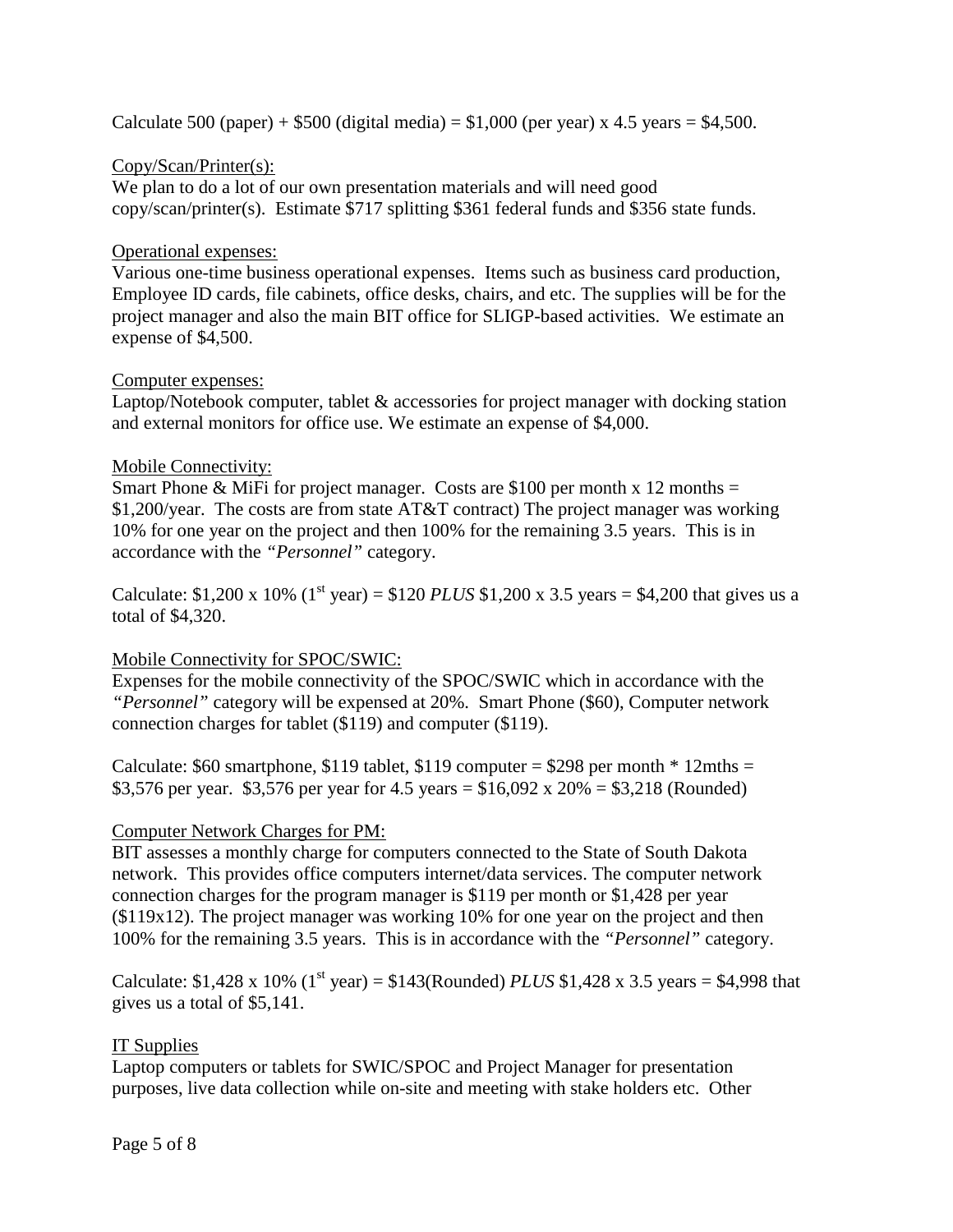Calculate 500 (paper) +  $$500$  (digital media) =  $$1,000$  (per year) x 4.5 years =  $$4,500$ .

### Copy/Scan/Printer(s):

We plan to do a lot of our own presentation materials and will need good copy/scan/printer(s). Estimate \$717 splitting \$361 federal funds and \$356 state funds.

### Operational expenses:

Various one-time business operational expenses. Items such as business card production, Employee ID cards, file cabinets, office desks, chairs, and etc. The supplies will be for the project manager and also the main BIT office for SLIGP-based activities. We estimate an expense of \$4,500.

### Computer expenses:

Laptop/Notebook computer, tablet & accessories for project manager with docking station and external monitors for office use. We estimate an expense of \$4,000.

### Mobile Connectivity:

Smart Phone & MiFi for project manager. Costs are \$100 per month x 12 months  $=$ \$1,200/year. The costs are from state AT&T contract) The project manager was working 10% for one year on the project and then 100% for the remaining 3.5 years. This is in accordance with the *"Personnel"* category.

Calculate: \$1,200 x 10% (1<sup>st</sup> year) = \$120 *PLUS* \$1,200 x 3.5 years = \$4,200 that gives us a total of \$4,320.

# Mobile Connectivity for SPOC/SWIC:

Expenses for the mobile connectivity of the SPOC/SWIC which in accordance with the *"Personnel"* category will be expensed at 20%. Smart Phone (\$60), Computer network connection charges for tablet (\$119) and computer (\$119).

Calculate:  $$60$  smartphone, \$119 tablet, \$119 computer = \$298 per month  $*$  12mths = \$3,576 per year. \$3,576 per year for 4.5 years =  $$16,092 \text{ x } 20\% = $3,218 \text{ (Rounded)}$ 

### Computer Network Charges for PM:

BIT assesses a monthly charge for computers connected to the State of South Dakota network. This provides office computers internet/data services. The computer network connection charges for the program manager is \$119 per month or \$1,428 per year (\$119x12). The project manager was working 10% for one year on the project and then 100% for the remaining 3.5 years. This is in accordance with the *"Personnel"* category.

Calculate: \$1,428 x 10% (1<sup>st</sup> year) = \$143(Rounded) *PLUS* \$1,428 x 3.5 years = \$4,998 that gives us a total of \$5,141.

### IT Supplies

Laptop computers or tablets for SWIC/SPOC and Project Manager for presentation purposes, live data collection while on-site and meeting with stake holders etc. Other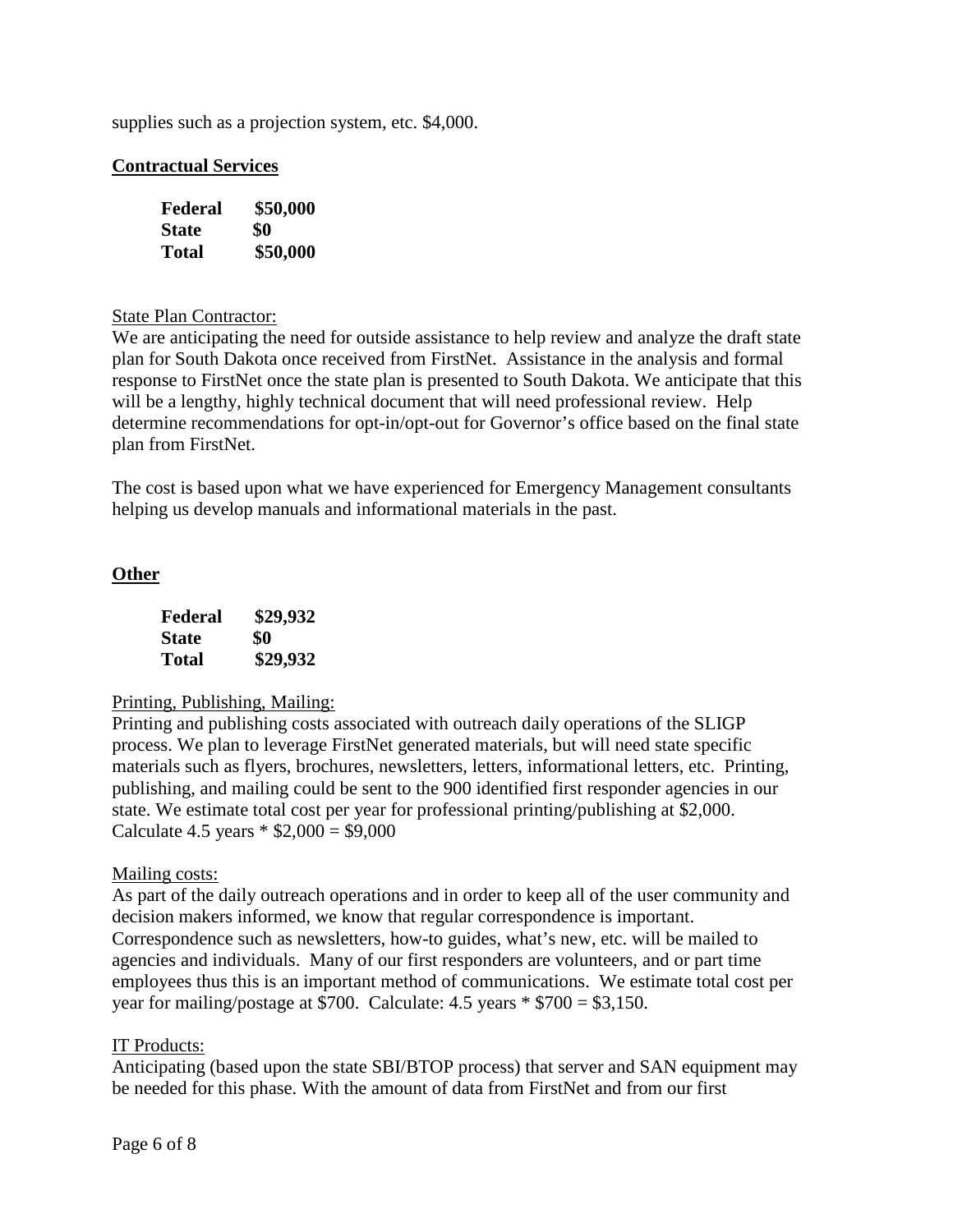supplies such as a projection system, etc. \$4,000.

### **Contractual Services**

| Federal | \$50,000 |
|---------|----------|
| State   | \$0      |
| Total   | \$50,000 |

#### State Plan Contractor:

We are anticipating the need for outside assistance to help review and analyze the draft state plan for South Dakota once received from FirstNet. Assistance in the analysis and formal response to FirstNet once the state plan is presented to South Dakota. We anticipate that this will be a lengthy, highly technical document that will need professional review. Help determine recommendations for opt-in/opt-out for Governor's office based on the final state plan from FirstNet.

The cost is based upon what we have experienced for Emergency Management consultants helping us develop manuals and informational materials in the past.

## **Other**

| Federal      | \$29,932 |
|--------------|----------|
| <b>State</b> | \$0      |
| Total        | \$29,932 |

### Printing, Publishing, Mailing:

Printing and publishing costs associated with outreach daily operations of the SLIGP process. We plan to leverage FirstNet generated materials, but will need state specific materials such as flyers, brochures, newsletters, letters, informational letters, etc. Printing, publishing, and mailing could be sent to the 900 identified first responder agencies in our state. We estimate total cost per year for professional printing/publishing at \$2,000. Calculate 4.5 years  $*$  \$2,000 = \$9,000

#### Mailing costs:

As part of the daily outreach operations and in order to keep all of the user community and decision makers informed, we know that regular correspondence is important. Correspondence such as newsletters, how-to guides, what's new, etc. will be mailed to agencies and individuals. Many of our first responders are volunteers, and or part time employees thus this is an important method of communications. We estimate total cost per year for mailing/postage at \$700. Calculate:  $4.5$  years  $*$  \$700 = \$3,150.

#### IT Products:

Anticipating (based upon the state SBI/BTOP process) that server and SAN equipment may be needed for this phase. With the amount of data from FirstNet and from our first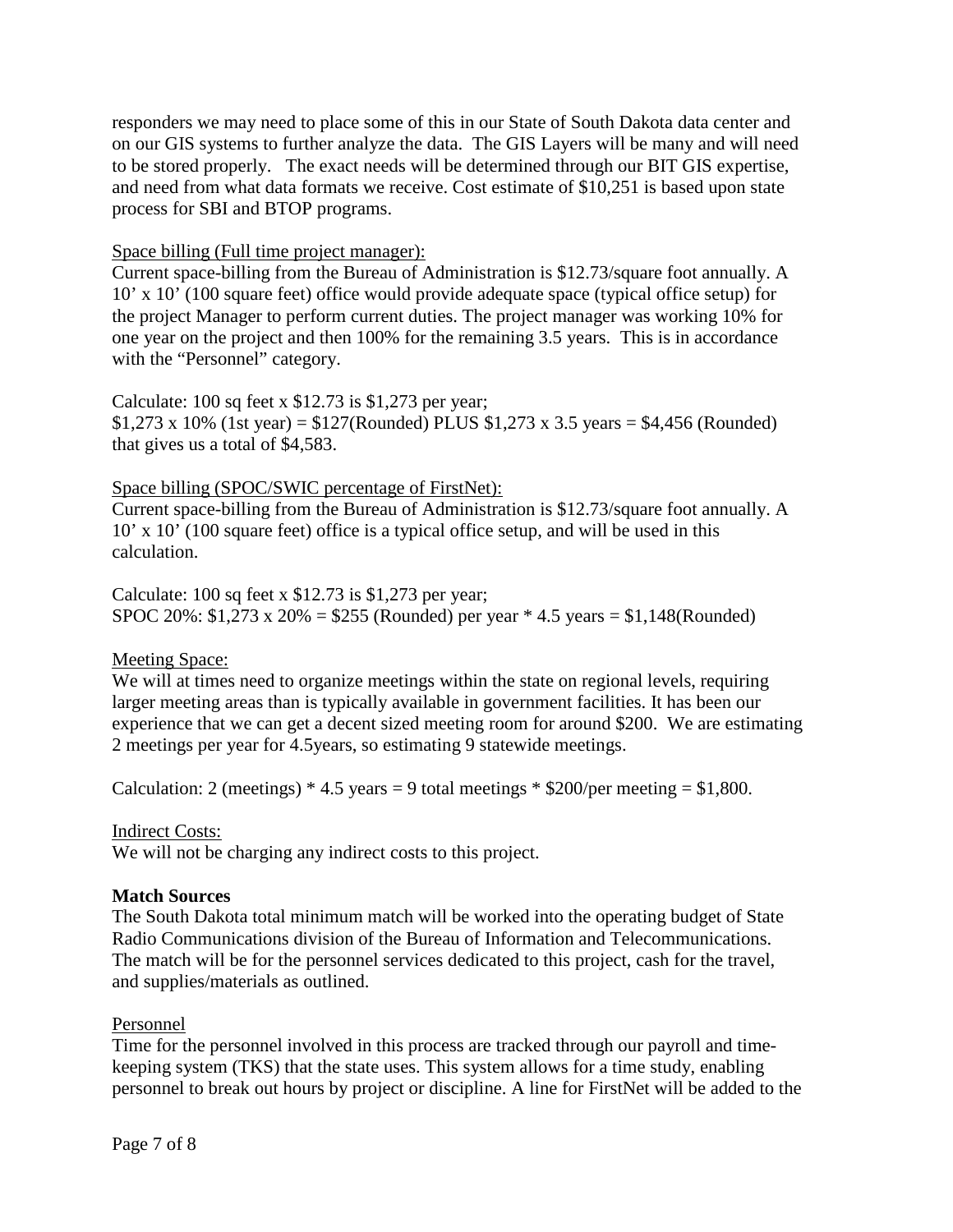responders we may need to place some of this in our State of South Dakota data center and on our GIS systems to further analyze the data. The GIS Layers will be many and will need to be stored properly. The exact needs will be determined through our BIT GIS expertise, and need from what data formats we receive. Cost estimate of \$10,251 is based upon state process for SBI and BTOP programs.

### Space billing (Full time project manager):

Current space-billing from the Bureau of Administration is \$12.73/square foot annually. A 10' x 10' (100 square feet) office would provide adequate space (typical office setup) for the project Manager to perform current duties. The project manager was working 10% for one year on the project and then 100% for the remaining 3.5 years. This is in accordance with the "Personnel" category.

Calculate: 100 sq feet x \$12.73 is \$1,273 per year;  $$1,273 \times 10\%$  (1st year) = \$127(Rounded) PLUS \$1,273 x 3.5 years = \$4,456 (Rounded) that gives us a total of \$4,583.

## Space billing (SPOC/SWIC percentage of FirstNet):

Current space-billing from the Bureau of Administration is \$12.73/square foot annually. A 10' x 10' (100 square feet) office is a typical office setup, and will be used in this calculation.

Calculate: 100 sq feet x \$12.73 is \$1,273 per year; SPOC 20%:  $$1,273 \times 20\% = $255$  (Rounded) per year \* 4.5 years = \$1,148(Rounded)

# Meeting Space:

We will at times need to organize meetings within the state on regional levels, requiring larger meeting areas than is typically available in government facilities. It has been our experience that we can get a decent sized meeting room for around \$200. We are estimating 2 meetings per year for 4.5years, so estimating 9 statewide meetings.

Calculation: 2 (meetings)  $*$  4.5 years = 9 total meetings  $*$  \$200/per meeting = \$1,800.

### Indirect Costs:

We will not be charging any indirect costs to this project.

### **Match Sources**

The South Dakota total minimum match will be worked into the operating budget of State Radio Communications division of the Bureau of Information and Telecommunications. The match will be for the personnel services dedicated to this project, cash for the travel, and supplies/materials as outlined.

### Personnel

Time for the personnel involved in this process are tracked through our payroll and timekeeping system (TKS) that the state uses. This system allows for a time study, enabling personnel to break out hours by project or discipline. A line for FirstNet will be added to the